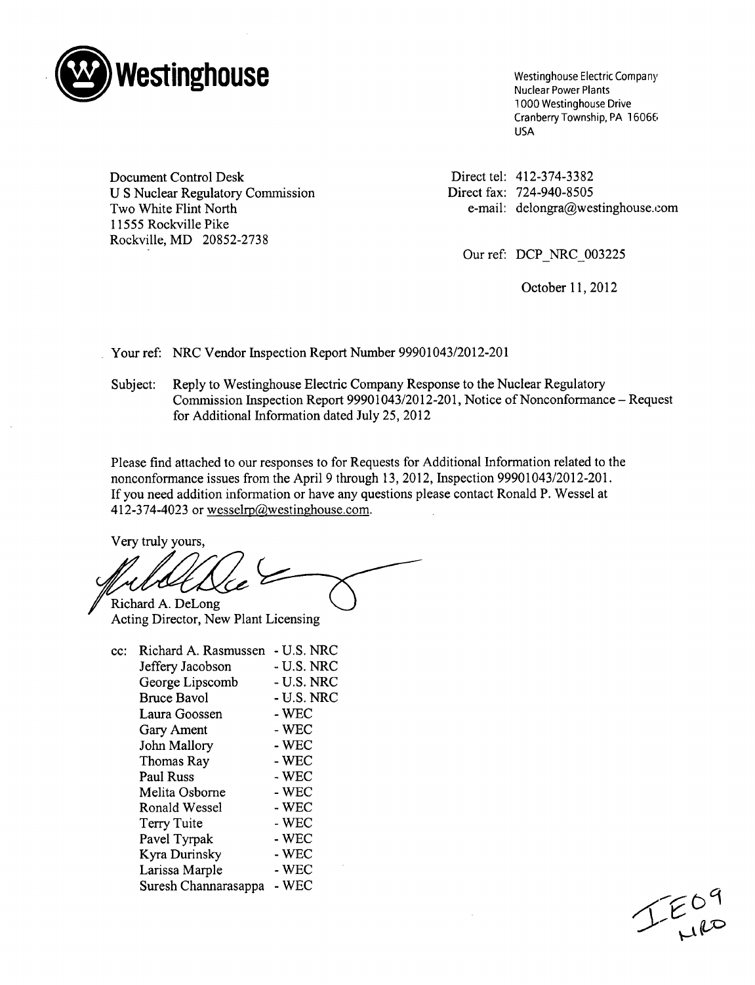

Nuclear Power Plants 1000 Westinghouse Drive Cranberry Township, PA 16066 USA

Document Control Desk U S Nuclear Regulatory Commission Two White Flint North *11555* Rockville Pike Rockville, MD 20852-2738

Direct tel: 412-374-3382 Direct fax: 724-940-8505 e-mail: delongra@westinghouse.con

Our ref: DCP NRC 003225

October 11, 2012

Your ref: NRC Vendor Inspection Report Number 99901043/2012-201

Subject: Reply to Westinghouse Electric Company Response to the Nuclear Regulatory Commission Inspection Report 99901043/2012-201, Notice of Nonconformance - Request for Additional Information dated July 25, 2012

Please find attached to our responses to for Requests for Additional Information related to the nonconformance issues from the April 9 through 13, 2012, Inspection 99901043/2012-201. If you need addition information or have any questions please contact Ronald P. Wessel at 412-374-4023 or wesselrp@westinghouse.com.

Very truly yours,

Richard A. DeLong

Acting Director, New Plant Licensing

| cc: | Richard A. Rasmussen | - U.S. NRC |
|-----|----------------------|------------|
|     | Jeffery Jacobson     | - U.S. NRC |
|     | George Lipscomb      | - U.S. NRC |
|     | <b>Bruce Bavol</b>   | - U.S. NRC |
|     | Laura Goossen        | - WEC      |
|     | Gary Ament           | - WEC      |
|     | John Mallory         | - WEC      |
|     | Thomas Ray           | - WEC      |
|     | <b>Paul Russ</b>     | - WEC      |
|     | Melita Osborne       | - WEC      |
|     | Ronald Wessel        | $-$ WEC    |
|     | Terry Tuite          | - WEC      |
|     | Pavel Tyrpak         | - WEC      |
|     | Kyra Durinsky        | $-$ WEC    |
|     | Larissa Marple       | - WEC      |
|     | Suresh Channarasappa | - WEC      |
|     |                      |            |

 $LE_{\mu\nu}^{0q}$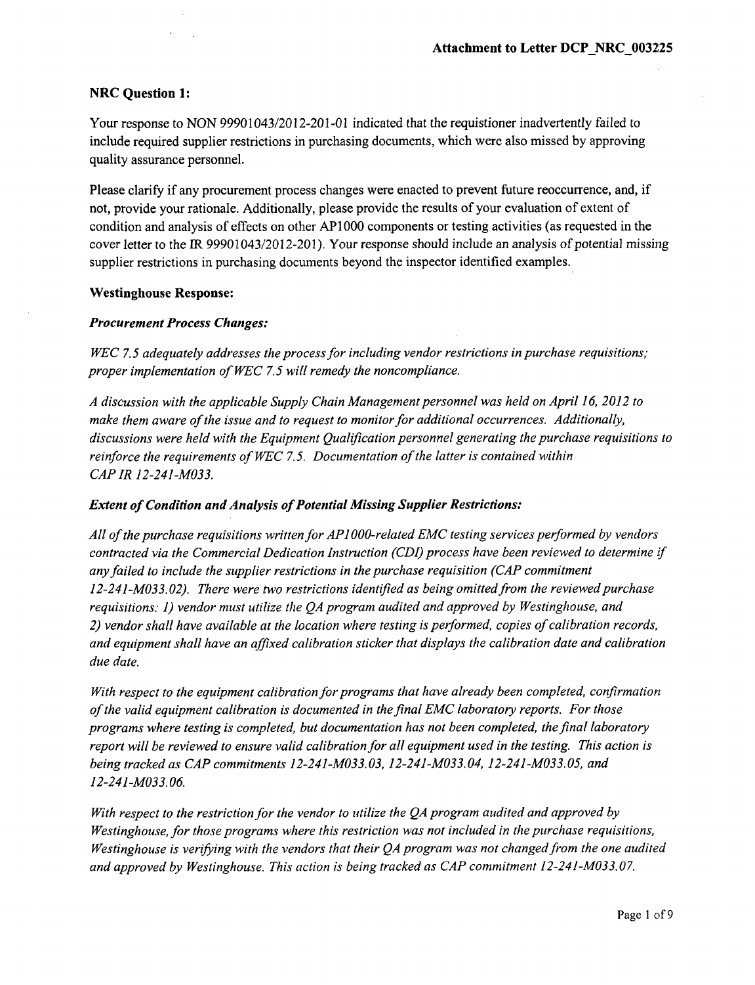## NRC Question **1:**

Your response to NON 99901043/2012-201-01 indicated that the requistioner inadvertently failed to include required supplier restrictions in purchasing documents, which were also missed by approving quality assurance personnel.

Please clarify if any procurement process changes were enacted to prevent future reoccurrence, and, if not, provide your rationale. Additionally, please provide the results of your evaluation of extent of condition and analysis of effects on other **AP1000** components or testing activities (as requested in the cover letter to the IR 99901043/2012-201). Your response should include an analysis of potential missing supplier restrictions in purchasing documents beyond the inspector identified examples.

### Westinghouse Response:

### *Procurement Process Changes:*

*WEC 7.5 adequately addresses the process for including vendor restrictions in purchase requisitions; proper implementation of WEC 7.5 will remedy the noncompliance.*

*A discussion with the applicable Supply Chain Management personnel was held on April 16, 2012 to make them aware of the issue and to request to monitor for additional occurrences. Additionally, discussions were held with the Equipment Qualification personnel generating the purchase requisitions to reinforce the requirements of WEC 7.5. Documentation of the latter is contained within CAP IR 12-241-M033.*

### *Extent of Condition and Analysis of Potential Missing Supplier Restrictions:*

*All of the purchase requisitions written for API 000-related EMC testing services performed by vendors contracted via the Commercial Dedication Instruction (CDI) process have been reviewed to determine if any failed to include the supplier restrictions in the purchase requisition (CAP commitment 12-241-M033.02). There were two restrictions identified as being omitted from the reviewed purchase requisitions. 1) vendor must utilize the QA program audited and approved by Westinghouse, and 2) vendor shall have available at the location where testing is performed, copies of calibration records, and equipment shall have an affixed calibration sticker that displays the calibration date and calibration due date.*

*With respect to the equipment calibration for programs that have already been completed, confirmation of the valid equipment calibration is documented in the final EMC laboratory reports. For those programs where testing is completed, but documentation has not been completed, the final laboratory report will be reviewed to ensure valid calibration for all equipment used in the testing. This action is being tracked as CAP commitments 12-241-M033.03, 12-241-M033.04, 12-241-M033.05, and 12-241-M033.06.*

*With respect to the restriction for the vendor to utilize the QA program audited and approved by Westinghouse, for those programs where this restriction was not included in the purchase requisitions, Westinghouse is verifying with the vendors that their QA program was not changed from the one audited and approved by Westinghouse. This action is being tracked as CAP commitment 12-241-M033.07.*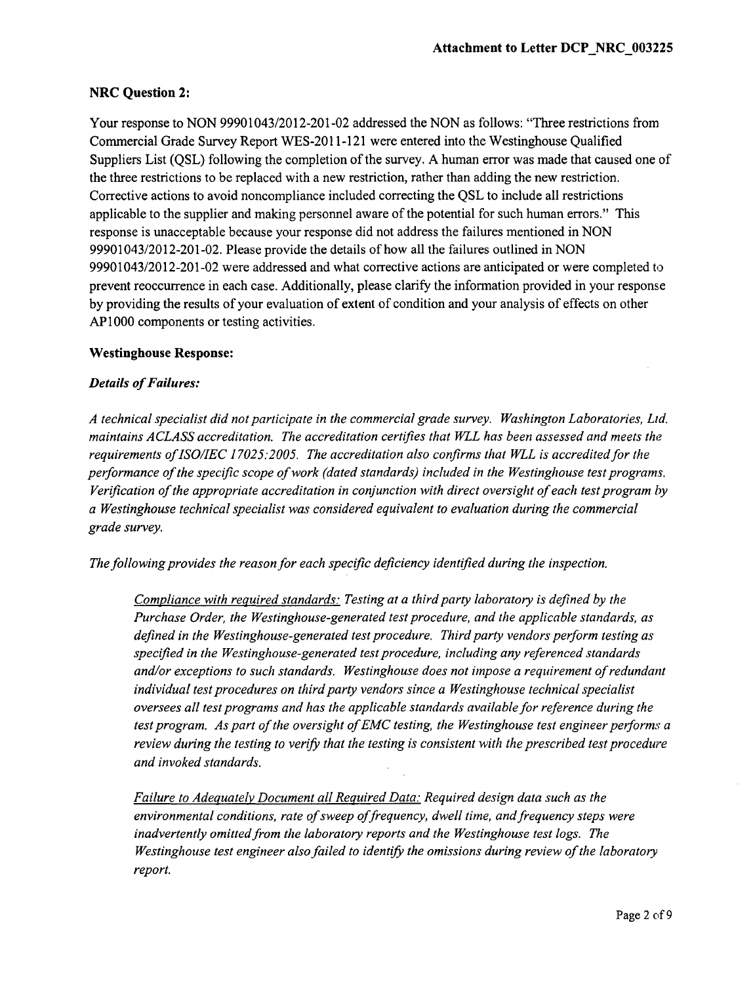# NRC Question 2:

Your response to NON 99901043/2012-201-02 addressed the NON as follows: "Three restrictions from Commercial Grade Survey Report WES-2011-121 were entered into the Westinghouse Qualified Suppliers List (QSL) following the completion of the survey. A human error was made that caused one of the three restrictions to be replaced with a new restriction, rather than adding the new restriction. Corrective actions to avoid noncompliance included correcting the QSL to include all restrictions applicable to the supplier and making personnel aware of the potential for such human errors." This response is unacceptable because your response did not address the failures mentioned in NON 99901043/2012-201-02. Please provide the details of how all the failures outlined in NON 99901043/2012-201-02 were addressed and what corrective actions are anticipated or were completed to prevent reoccurrence in each case. Additionally, please clarify the information provided in your response by providing the results of your evaluation of extent of condition and your analysis of effects on other AP 1000 components or testing activities.

### Westinghouse Response:

## *Details of Failures:*

*A technical specialist did not participate in the commercial grade survey. Washington Laboratories, Ltd. maintains A CLASS accreditation. The accreditation certifies that WLL has been assessed and meets the requirements of ISO/IEC 17025:2005. The accreditation also confirms that WLL is accredited for the performance of the specific scope of work (dated standards) included in the Westinghouse test programs. Verification of the appropriate accreditation in conjunction with direct oversight of each test program by a Westinghouse technical specialist was considered equivalent to evaluation during the commercial grade survey.*

*The following provides the reason for each specific deficiency identified during the inspection.*

*Compliance with required standards: Testing at a third party laboratory is defined by the Purchase Order; the Westinghouse-generated test procedure, and the applicable standards, as defined in the Westinghouse-generated test procedure. Third party vendors perform testing as specified in the Westinghouse-generated test procedure, including any referenced standards and/or exceptions to such standards. Westinghouse does not impose a requirement of redundant individual test procedures on third party vendors since a Westinghouse technical specialist oversees all test programs and has the applicable standards available for reference during the test program. As part of the oversight of EMC testing, the Westinghouse test engineer performs a review during the testing to verify that the testing is consistent with the prescribed test procedure and invoked standards.*

*Failure to Adequately Document all Required Data. Required design data such as the* environmental conditions, rate of sweep of frequency, dwell time, and frequency steps were *inadvertently omitted from the laboratory reports and the Westinghouse test logs. The Westinghouse test engineer also failed to identify the omissions during review of the laboratory report.*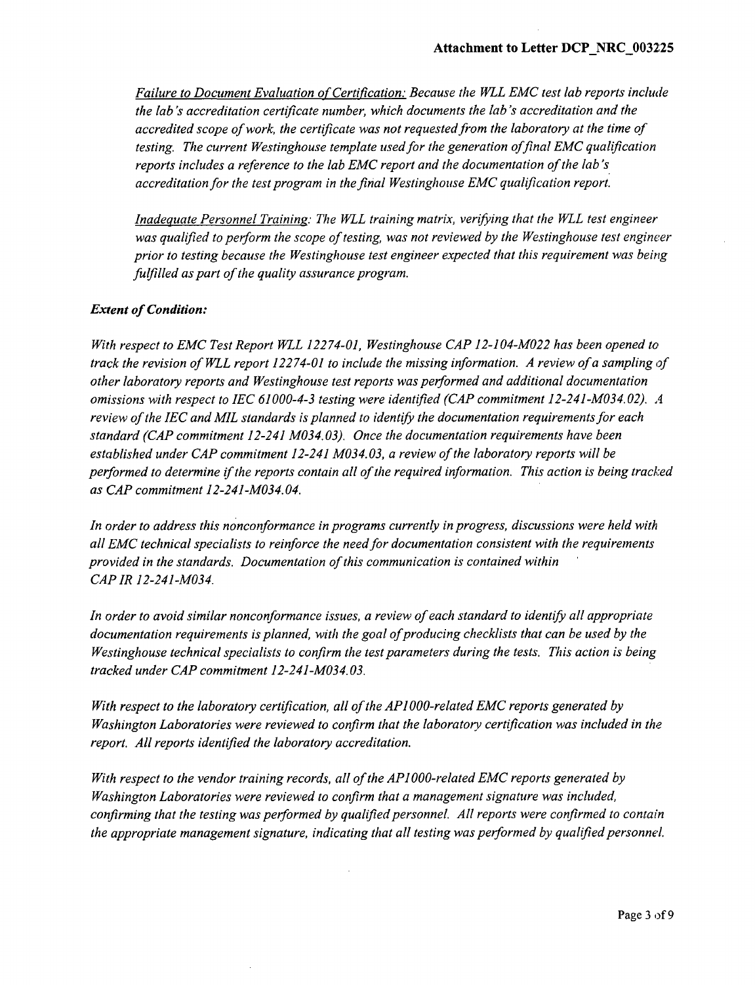*Failure to Document Evaluation of Certification.- Because the WLL EMC test lab reports include the lab's accreditation certificate number, which documents the lab's accreditation and the accredited scope of work, the certificate was not requested from the laboratory at the time of testing. The current Westinghouse template used for the generation offinal EMC qualification reports includes a reference to the lab EMC report and the documentation of the lab's accreditation for the test program in the final Westinghouse EMC qualification report.*

*Inadequate Personnel Training.: The WLL training matrix, verifying that the WLL test engineer was qualified to perform the scope of testing, was not reviewed by the Westinghouse test engineer prior to testing because the Westinghouse test engineer expected that this requirement was being fulfilled as part of the quality assurance program.*

### *Extent of Condition:*

*With respect to EMC Test Report WLL 12274-01, Westinghouse CAP 12-104-M022 has been opened to track the revision of WLL report 12274-01 to include the missing information. A review of a sampling of other laboratory reports and Westinghouse test reports was performed and additional documentation omissions with respect to JEC 61000-4-3 testing were identified (CAP commitment 12-241-M034.02). A review of the IEC and MIL standards is planned to identify the documentation requirements for each standard (CAP commitment 12-241 M034. 03). Once the documentation requirements have been established under CAP commitment 12-241 M034.03, a review of the laboratory reports will be performed to determine if the reports contain all of the required information. This action is being tracked as CAP commitment 12-241-M034. 04.*

*In order to address this nonconformance in programs currently in progress, discussions were held with all EMC technical specialists to reinforce the need for documentation consistent with the requirements provided in the standards. Documentation of this communication is contained within CAP IR 12-241-M034.*

*In order to avoid similar nonconformance issues, a review of each standard to identify all appropriate* documentation requirements is planned, with the goal of producing checklists that can be used by the *Westinghouse technical specialists to confirm the test parameters during the tests. This action is being tracked under CAP commitment 12-241-M034.03.*

*With respect to the laboratory certification, all of the APl O00-related EMC reports generated by Washington Laboratories were reviewed to confirm that the laboratory certifcation was included in the report. All reports identified the laboratory accreditation.*

*With respect to the vendor training records, all of the API 000-related EMC reports generated by Washington Laboratories were reviewed to confirm that a management signature was included, confirming that the testing was performed by qualified personnel. All reports were confirmed to contain the appropriate management signature, indicating that all testing was performed by qualified personnel.*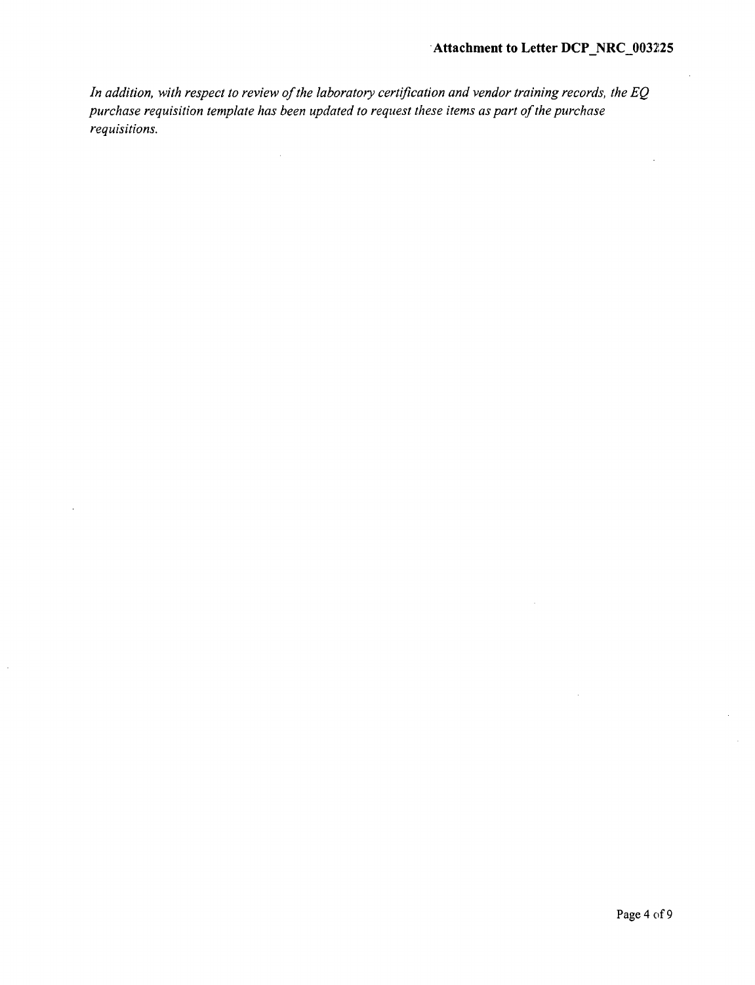# 'Attachment to Letter DCP\_NRC\_003225

*In addition, with respect to review of the laboratory certification and vendor training records, the EQ purchase requisition template has been updated to request these items as part of the purchase requisitions.*

 $\hat{\mathcal{A}}$ 

 $\mathcal{L}$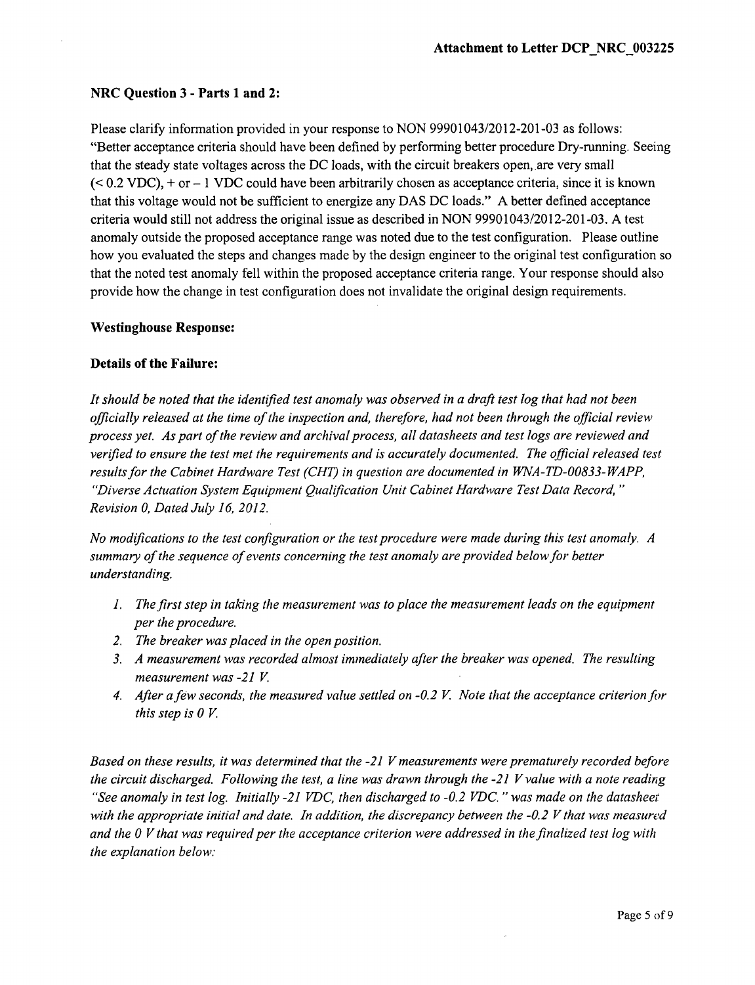# NRC Question **3** - Parts **1** and 2:

Please clarify information provided in your response to NON 99901043/2012-201-03 as follows: "Better acceptance criteria should have been defined by performing better procedure Dry-running. Seeing that the steady state voltages across the DC loads, with the circuit breakers open, are very small  $( $0.2$  VDC)$ , + or  $-1$  VDC could have been arbitrarily chosen as acceptance criteria, since it is known that this voltage would not be sufficient to energize any DAS DC loads." A better defined acceptance criteria would still not address the original issue as described in NON 99901043/2012-201-03. A test anomaly outside the proposed acceptance range was noted due to the test configuration. Please outline how you evaluated the steps and changes made by the design engineer to the original test configuration so that the noted test anomaly fell within the proposed acceptance criteria range. Your response should also provide how the change in test configuration does not invalidate the original design requirements.

## Westinghouse Response:

## Details of the Failure:

*It should be noted that the identified test anomaly was observed in a draft test log that had not been officially released at the time of the inspection and, therefore, had not been through the official review process yet. As part of the review and archival process, all datasheets and test logs are reviewed and verified to ensure the test met the requirements and is accurately documented. The official released test results for the Cabinet Hardware Test (CHT) in question are documented in WNA-TD-00833-WAPP, "Diverse Actuation System Equipment Qualification Unit Cabinet Hardware Test Data Record, Revision 0, Dated July 16, 2012.*

*No modifications to the test configuration or the test procedure were made during this test anomaly. A summary of the sequence of events concerning the test anomaly are provided below for better understanding.*

- 1. *The first step in taking the measurement was to place the measurement leads on the equipment per the procedure.*
- *2. The breaker was placed in the open position.*
- *3. A measurement was recorded almost immediately after the breaker was opened. The resulting measurement was -21 V*
- *4. After afew seconds, the measured value settled on -0.2 V Note that the acceptance criterion fir this step is 0 V.*

*Based on these results, it was determined that the -21 V measurements were prematurely recorded before the circuit discharged. Following the test, a line was drawn through the -21 V value with a note reading "See anomaly in test log. Initially -21 VDC, then discharged to -0.2 VDC. "was made on the datasheeit with the appropriate initial and date. In addition, the discrepancy between the -0.2 V that was measured and the 0 V that was required per the acceptance criterion were addressed in the finalized test log with the explanation below.*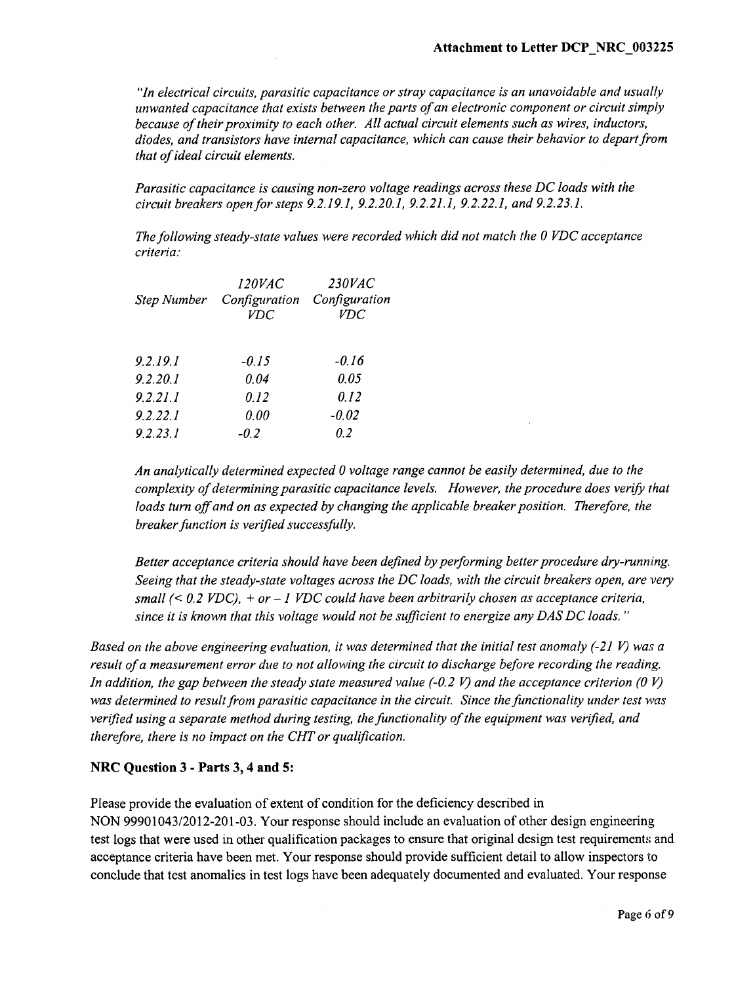*"In electrical circuits, parasitic capacitance or stray capacitance is an unavoidable and usually unwanted capacitance that exists between the parts of an electronic component or circuit simply because of their proximity to each other. All actual circuit elements such as wires, inductors, diodes, and transistors have internal capacitance, which can cause their behavior to depart from that of ideal circuit elements.*

*Parasitic capacitance is causing non-zero voltage readings across these DC loads with the circuit breakers open for steps 9.2.19.1, 9.2.20.1, 9.2.21.1, 9.2.22.1, and 9.2.23.1.*

*The following steady-state values were recorded which did not match the 0 VDC acceptance criteria:*

| <i>120VAC</i><br>Configuration<br>Step Number<br><b>VDC</b> | <i>230VAC</i><br>Configuration<br>VDC |
|-------------------------------------------------------------|---------------------------------------|
| $-0.15$                                                     | -0.16                                 |
| 0.04                                                        | 0.05                                  |
| 0.12                                                        | 0.12                                  |
| 0.00                                                        | $-0.02$                               |
| $-0.2$                                                      | 0.2                                   |
|                                                             |                                       |

*An analytically determined expected 0 voltage range cannot be easily determined, due to the complexity of determining parasitic capacitance levels. However, the procedure does verify that loads turn off and on as expected by changing the applicable breaker position. Therefore, the breaker function is verified successfully.*

*Better acceptance criteria should have been defined by performing better procedure dry-running. Seeing that the steady-state voltages across the DC loads, with the circuit breakers open, are very small (< 0.2 VDC),* + *or* - *1 VDC could have been arbitrarily chosen as acceptance criteria, since it is known that this voltage would not be sufficient to energize any DAS DC loads. "*

*Based on the above engineering evaluation, it was determined that the initial test anomaly (-21 V) was a result of a measurement error due to not allowing the circuit to discharge before recording the reading. In addition, the gap between the steady state measured value (-0.2 V) and the acceptance criterion (0 V) was determined to result from parasitic capacitance in the circuit. Since the functionality under test was verified using a separate method during testing, the functionality of the equipment was verified, and therefore, there is no impact on the CHT or qualification.*

# NRC Question **3** - Parts **3,** 4 and 5:

Please provide the evaluation of extent of condition for the deficiency described in NON 99901043/2012-201-03. Your response should include an evaluation of other design engineering test logs that were used in other qualification packages to ensure that original design test requirements and acceptance criteria have been met. Your response should provide sufficient detail to allow inspectors to conclude that test anomalies in test logs have been adequately documented and evaluated. Your response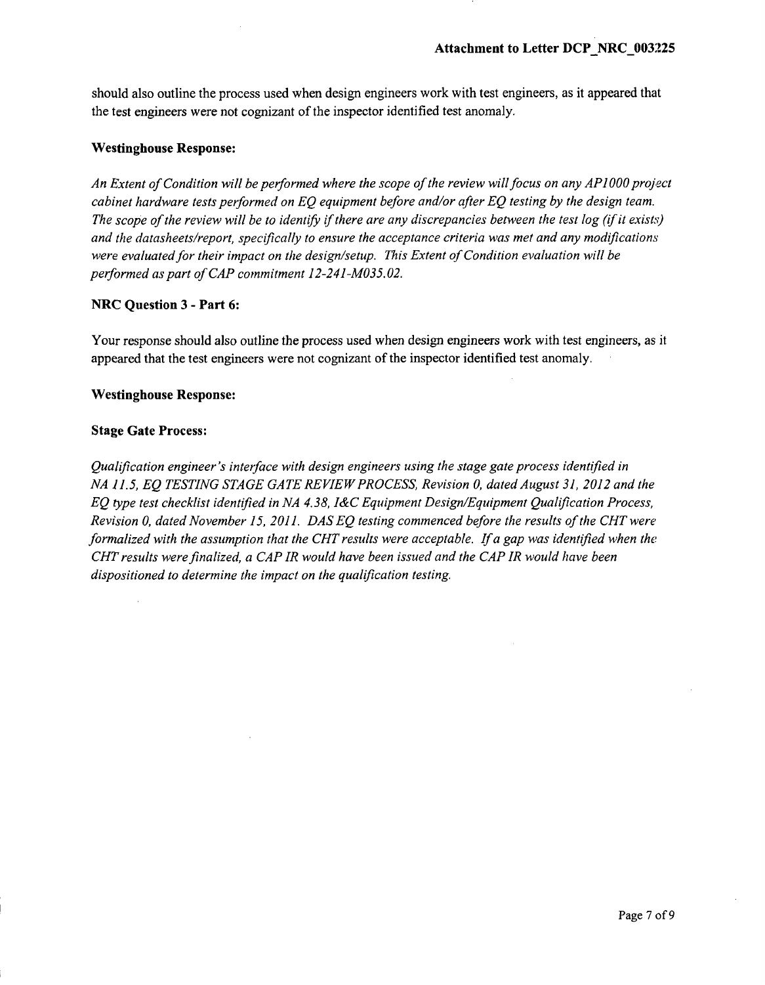should also outline the process used when design engineers work with test engineers, as it appeared that the test engineers were not cognizant of the inspector identified test anomaly.

#### Westinghouse Response:

*An Extent of Condition will be performed where the scope of the review will focus on any APIO0O project cabinet hardware tests performed on EQ equipment before and/or after EQ testing by the design team. The scope of the review will be to identify if there are any discrepancies between the test log (if it exists) and the datasheets/report, specifically to ensure the acceptance criteria was met and any modifications were evaluated for their impact on the design/setup. This Extent of Condition evaluation will be performed as part of CAP commitment 12-241-MO35.02.*

### NRC Question **3 -** Part **6:**

Your response should also outline the process used when design engineers work with test engineers, as it appeared that the test engineers were not cognizant of the inspector identified test anomaly.

### Westinghouse Response:

### Stage Gate Process:

*Qualification engineer's interface with design engineers using the stage gate process identified in NA 11.5, EQ TESTING STAGE GATE REVIEW PROCESS, Revision 0, dated August 31, 2012 and the EQ type test checklist identified in NA 4.38, I&C Equipment Design/Equipment Qualification Process, Revision 0, dated November 15, 2011. DAS EQ testing commenced before the results of the CHT were formalized with the assumption that the CHT results were acceptable. If a gap was identified when the CHT results were finalized, a CAP IR would have been issued and the CAP IR would have been dispositioned to determine the impact on the qualification testing.*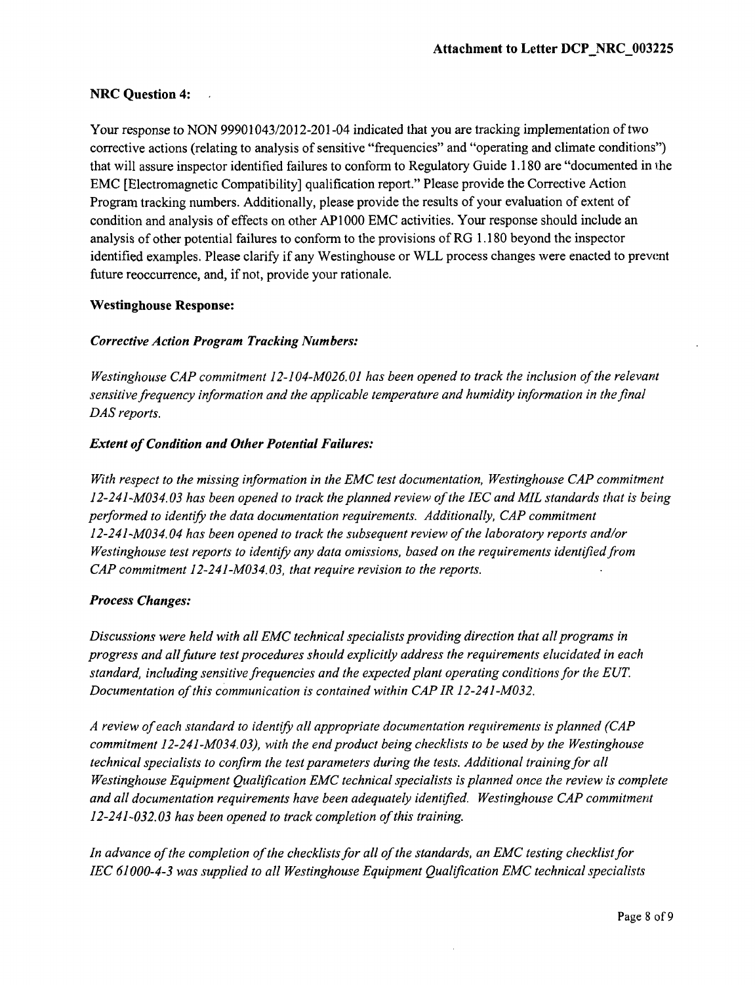# NRC Question 4:

Your response to NON 99901043/2012-201-04 indicated that you are tracking implementation of two corrective actions (relating to analysis of sensitive "frequencies" and "operating and climate conditions") that will assure inspector identified failures to conform to Regulatory Guide 1.180 are "documented in i:he EMC [Electromagnetic Compatibility] qualification report." Please provide the Corrective Action Program tracking numbers. Additionally, please provide the results of your evaluation of extent of condition and analysis of effects on other AP **1000** EMC activities. Your response should include an analysis of other potential failures to conform to the provisions of RG 1.180 beyond the inspector identified examples. Please clarify if any Westinghouse or WLL process changes were enacted to prevent future reoccurrence, and, if not, provide your rationale.

### Westinghouse Response:

## *Corrective Action Program Tracking Numbers:*

*Westinghouse CAP commitment 12-104-M026. 01 has been opened to track the inclusion of the relevant sensitive frequency information and the applicable temperature and humidity information in the final DAS reports.*

## *Extent of Condition and Other Potential Failures:*

*With respect to the missing information in the EMC test documentation, Westinghouse CAP commitment 12-241-M034. 03 has been opened to track the planned review of the JEC and MIL standards that is being performed to identify the data documentation requirements. Additionally, CAP commitment 12-241-M034. 04 has been opened to track the subsequent review of the laboratory reports and/or Westinghouse test reports to identify any data omissions, based on the requirements identified from CAP commitment 12-241-M034.03, that require revision to the reports.*

### *Process Changes:*

*Discussions were held with all EMC technical specialists providing direction that all programs in progress and allfuture test procedures should explicitly address the requirements elucidated in each standard, including sensitive frequencies and the expected plant operating conditions for the EUT. Documentation of this communication is contained within CAP IR 12-241-M032.*

*A review of each standard to identify all appropriate documentation requirements is planned (CAP commitment 12-241-M034.03), with the end product being checklists to be used by the Westinghouse technical specialists to confirm the test parameters during the tests. Additional training for all Westinghouse Equipment Qualification EMC technical specialists is planned once the review is complete and all documentation requirements have been adequately identified. Westinghouse CAP commitment 12-241-032.03 has been opened to track completion of this training.*

*In advance of the completion of the checklists for all of the standards, an EMC testing checklist for IEC 61000-4-3 was supplied to all Westinghouse Equipment Qualification EMC technical specialists*